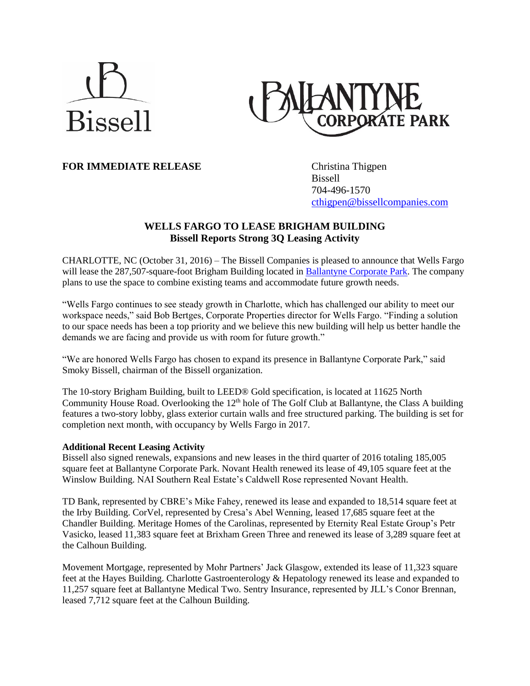# **Bissell**



**FOR IMMEDIATE RELEASE** Christina Thigpen

Bissell 704-496-1570 [cthigpen@bissellcompanies.com](mailto:cthigpen@bissellcompanies.com)

# **WELLS FARGO TO LEASE BRIGHAM BUILDING Bissell Reports Strong 3Q Leasing Activity**

CHARLOTTE, NC (October 31, 2016) – The Bissell Companies is pleased to announce that Wells Fargo will lease the 287,507-square-foot Brigham Building located in [Ballantyne Corporate Park.](http://www.ballantynecorporate.com/) The company plans to use the space to combine existing teams and accommodate future growth needs.

"Wells Fargo continues to see steady growth in Charlotte, which has challenged our ability to meet our workspace needs," said Bob Bertges, Corporate Properties director for Wells Fargo. "Finding a solution to our space needs has been a top priority and we believe this new building will help us better handle the demands we are facing and provide us with room for future growth."

"We are honored Wells Fargo has chosen to expand its presence in Ballantyne Corporate Park," said Smoky Bissell, chairman of the Bissell organization.

The 10-story Brigham Building, built to LEED® Gold specification, is located at 11625 North Community House Road. Overlooking the 12<sup>th</sup> hole of The Golf Club at Ballantyne, the Class A building features a two-story lobby, glass exterior curtain walls and free structured parking. The building is set for completion next month, with occupancy by Wells Fargo in 2017.

# **Additional Recent Leasing Activity**

Bissell also signed renewals, expansions and new leases in the third quarter of 2016 totaling 185,005 square feet at Ballantyne Corporate Park. Novant Health renewed its lease of 49,105 square feet at the Winslow Building. NAI Southern Real Estate's Caldwell Rose represented Novant Health.

TD Bank, represented by CBRE's Mike Fahey, renewed its lease and expanded to 18,514 square feet at the Irby Building. CorVel, represented by Cresa's Abel Wenning, leased 17,685 square feet at the Chandler Building. Meritage Homes of the Carolinas, represented by Eternity Real Estate Group's Petr Vasicko, leased 11,383 square feet at Brixham Green Three and renewed its lease of 3,289 square feet at the Calhoun Building.

Movement Mortgage, represented by Mohr Partners' Jack Glasgow, extended its lease of 11,323 square feet at the Hayes Building. Charlotte Gastroenterology & Hepatology renewed its lease and expanded to 11,257 square feet at Ballantyne Medical Two. Sentry Insurance, represented by JLL's Conor Brennan, leased 7,712 square feet at the Calhoun Building.